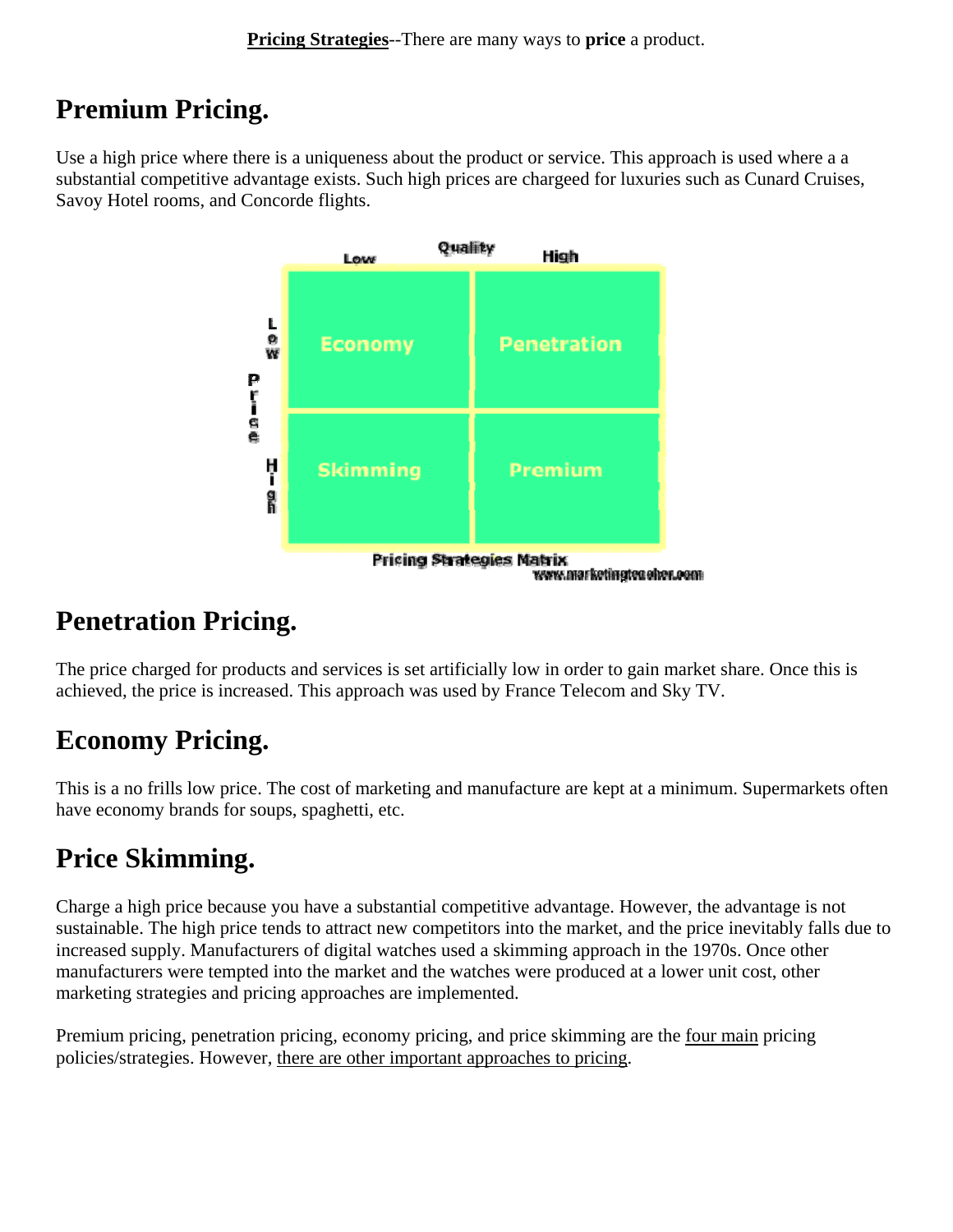#### **Premium Pricing.**

Use a high price where there is a uniqueness about the product or service. This approach is used where a a substantial competitive advantage exists. Such high prices are chargeed for luxuries such as Cunard Cruises, Savoy Hotel rooms, and Concorde flights.



#### **Penetration Pricing.**

The price charged for products and services is set artificially low in order to gain market share. Once this is achieved, the price is increased. This approach was used by France Telecom and Sky TV.

### **Economy Pricing.**

This is a no frills low price. The cost of marketing and manufacture are kept at a minimum. Supermarkets often have economy brands for soups, spaghetti, etc.

### **Price Skimming.**

Charge a high price because you have a substantial competitive advantage. However, the advantage is not sustainable. The high price tends to attract new competitors into the market, and the price inevitably falls due to increased supply. Manufacturers of digital watches used a skimming approach in the 1970s. Once other manufacturers were tempted into the market and the watches were produced at a lower unit cost, other marketing strategies and pricing approaches are implemented.

Premium pricing, penetration pricing, economy pricing, and price skimming are the four main pricing policies/strategies. However, there are other important approaches to pricing.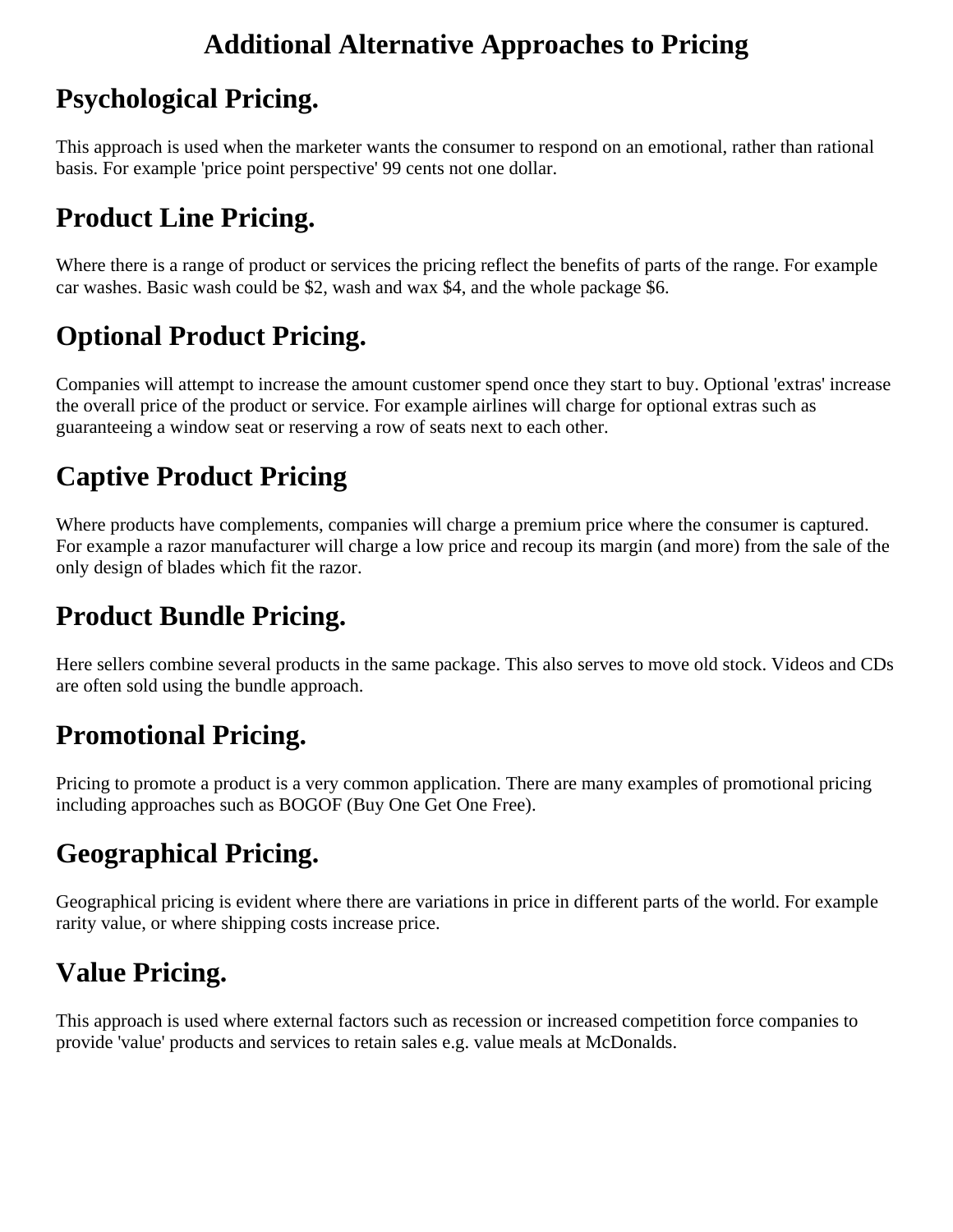#### **Additional Alternative Approaches to Pricing**

### **Psychological Pricing.**

This approach is used when the marketer wants the consumer to respond on an emotional, rather than rational basis. For example 'price point perspective' 99 cents not one dollar.

# **Product Line Pricing.**

Where there is a range of product or services the pricing reflect the benefits of parts of the range. For example car washes. Basic wash could be \$2, wash and wax \$4, and the whole package \$6.

# **Optional Product Pricing.**

Companies will attempt to increase the amount customer spend once they start to buy. Optional 'extras' increase the overall price of the product or service. For example airlines will charge for optional extras such as guaranteeing a window seat or reserving a row of seats next to each other.

## **Captive Product Pricing**

Where products have complements, companies will charge a premium price where the consumer is captured. For example a razor manufacturer will charge a low price and recoup its margin (and more) from the sale of the only design of blades which fit the razor.

### **Product Bundle Pricing.**

Here sellers combine several products in the same package. This also serves to move old stock. Videos and CDs are often sold using the bundle approach.

### **Promotional Pricing.**

Pricing to promote a product is a very common application. There are many examples of promotional pricing including approaches such as BOGOF (Buy One Get One Free).

### **Geographical Pricing.**

Geographical pricing is evident where there are variations in price in different parts of the world. For example rarity value, or where shipping costs increase price.

# **Value Pricing.**

This approach is used where external factors such as recession or increased competition force companies to provide 'value' products and services to retain sales e.g. value meals at McDonalds.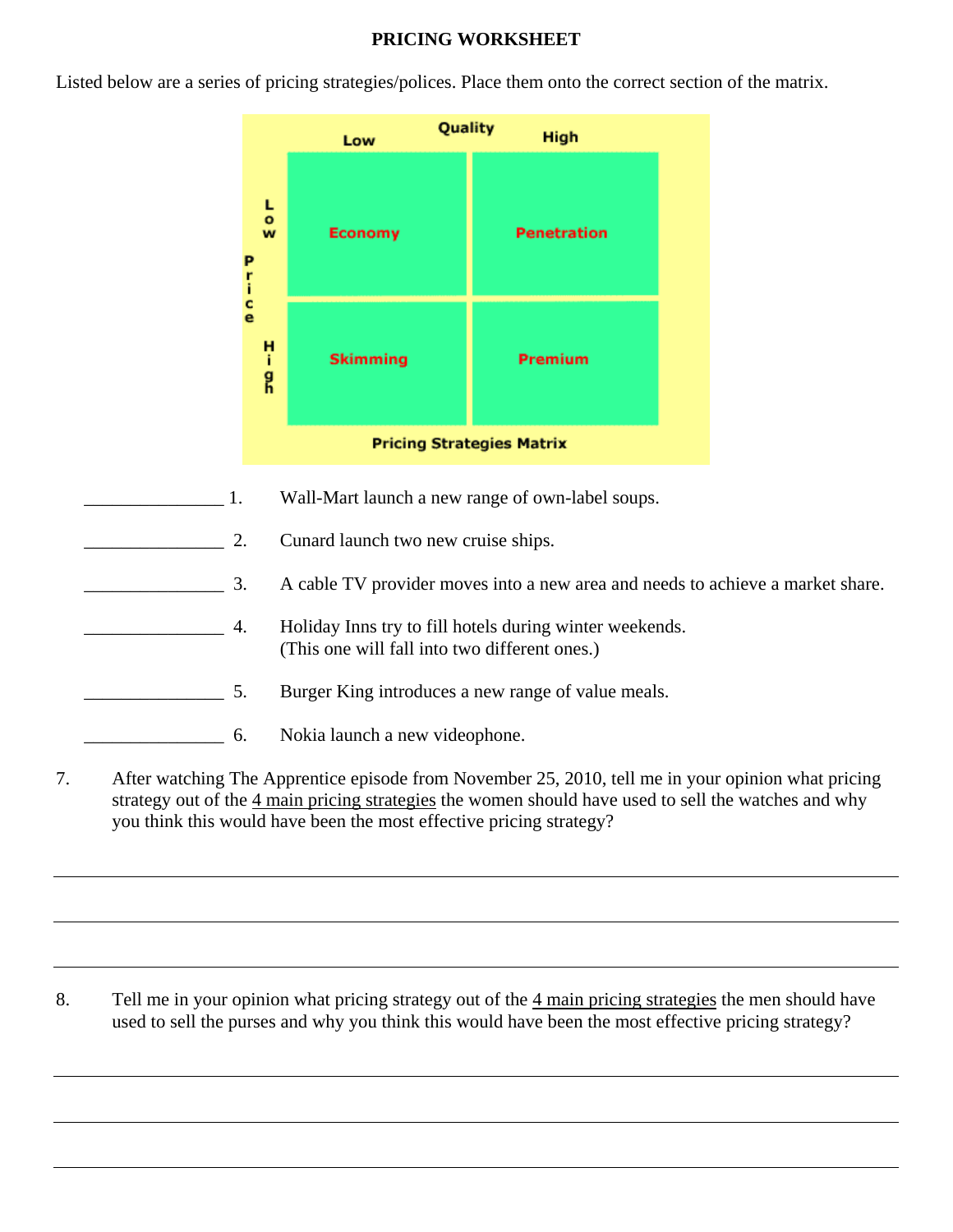#### **PRICING WORKSHEET**

Listed below are a series of pricing strategies/polices. Place them onto the correct section of the matrix.



- 1. Wall-Mart launch a new range of own-label soups.
	- 2. Cunard launch two new cruise ships.
- **Example 2.** A cable TV provider moves into a new area and needs to achieve a market share.
- **EXECUTE:** 4. Holiday Inns try to fill hotels during winter weekends. (This one will fall into two different ones.)
- **EXECUTE:** 5. Burger King introduces a new range of value meals.
- \_\_\_\_\_\_\_\_\_\_\_\_\_\_\_ 6. Nokia launch a new videophone.
- 7. After watching The Apprentice episode from November 25, 2010, tell me in your opinion what pricing strategy out of the 4 main pricing strategies the women should have used to sell the watches and why you think this would have been the most effective pricing strategy?

8. Tell me in your opinion what pricing strategy out of the 4 main pricing strategies the men should have used to sell the purses and why you think this would have been the most effective pricing strategy?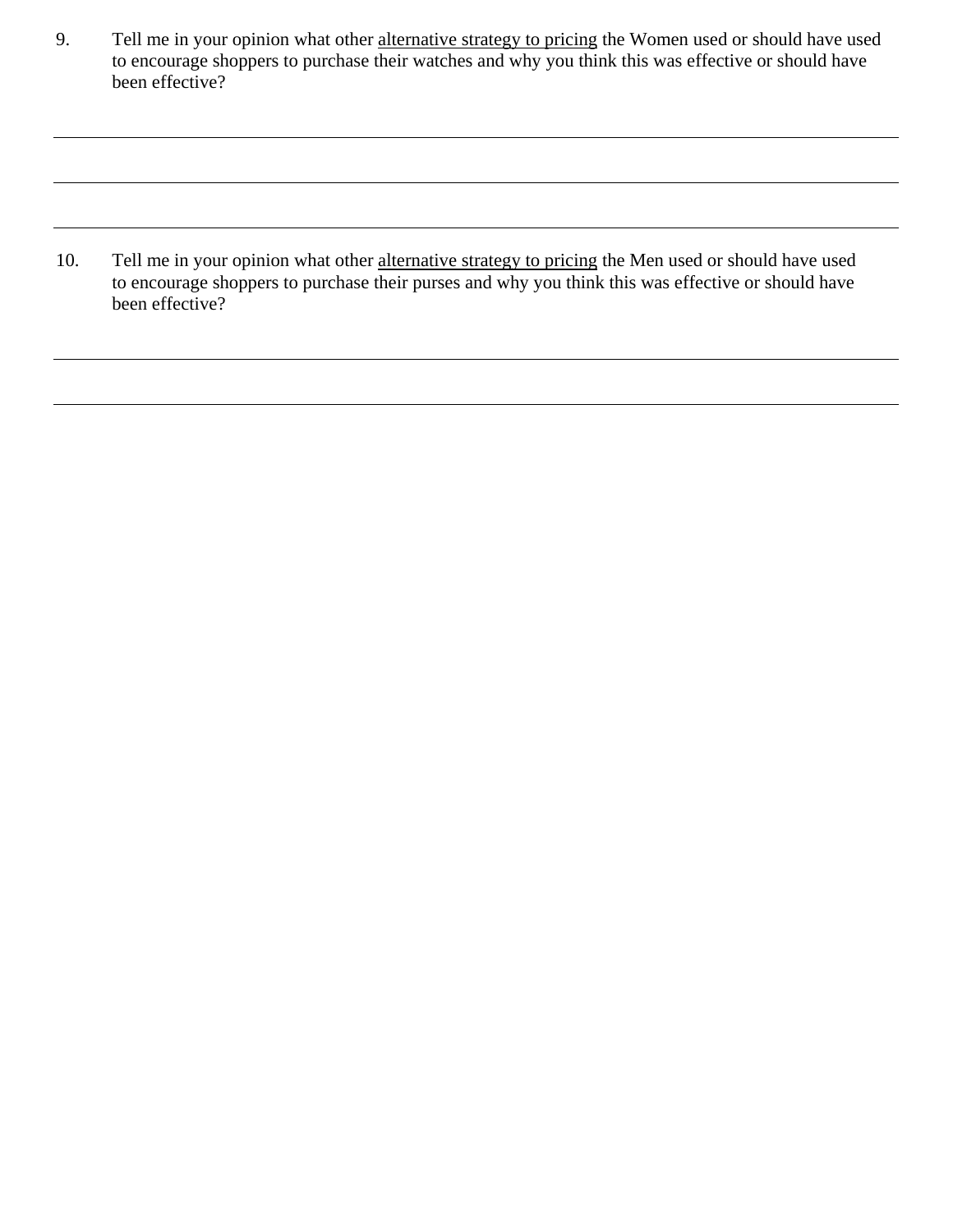9. Tell me in your opinion what other alternative strategy to pricing the Women used or should have used to encourage shoppers to purchase their watches and why you think this was effective or should have been effective?

10. Tell me in your opinion what other alternative strategy to pricing the Men used or should have used to encourage shoppers to purchase their purses and why you think this was effective or should have been effective?